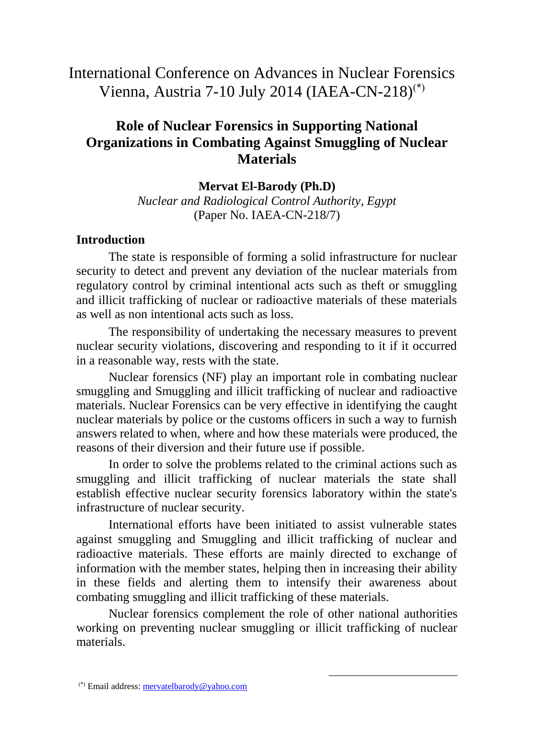# International Conference on Advances in Nuclear Forensics Vienna, Austria 7-10 July 2014 (IAEA-CN-218)<sup>(\*)</sup>

# **Role of Nuclear Forensics in Supporting National Organizations in Combating Against Smuggling of Nuclear Materials**

**Mervat El-Barody (Ph.D)** *Nuclear and Radiological Control Authority, Egypt* (Paper No. IAEA-CN-218/7)

#### **Introduction**

The state is responsible of forming a solid infrastructure for nuclear security to detect and prevent any deviation of the nuclear materials from regulatory control by criminal intentional acts such as theft or smuggling and illicit trafficking of nuclear or radioactive materials of these materials as well as non intentional acts such as loss.

The responsibility of undertaking the necessary measures to prevent nuclear security violations, discovering and responding to it if it occurred in a reasonable way, rests with the state.

Nuclear forensics (NF) play an important role in combating nuclear smuggling and Smuggling and illicit trafficking of nuclear and radioactive materials. Nuclear Forensics can be very effective in identifying the caught nuclear materials by police or the customs officers in such a way to furnish answers related to when, where and how these materials were produced, the reasons of their diversion and their future use if possible.

In order to solve the problems related to the criminal actions such as smuggling and illicit trafficking of nuclear materials the state shall establish effective nuclear security forensics laboratory within the state's infrastructure of nuclear security.

International efforts have been initiated to assist vulnerable states against smuggling and Smuggling and illicit trafficking of nuclear and radioactive materials. These efforts are mainly directed to exchange of information with the member states, helping then in increasing their ability in these fields and alerting them to intensify their awareness about combating smuggling and illicit trafficking of these materials.

Nuclear forensics complement the role of other national authorities working on preventing nuclear smuggling or illicit trafficking of nuclear materials.

1

<sup>&</sup>lt;sup>(\*)</sup> Email address: [mervatelbarody@yahoo.com](mailto:mervatelbarody@yahoo.com)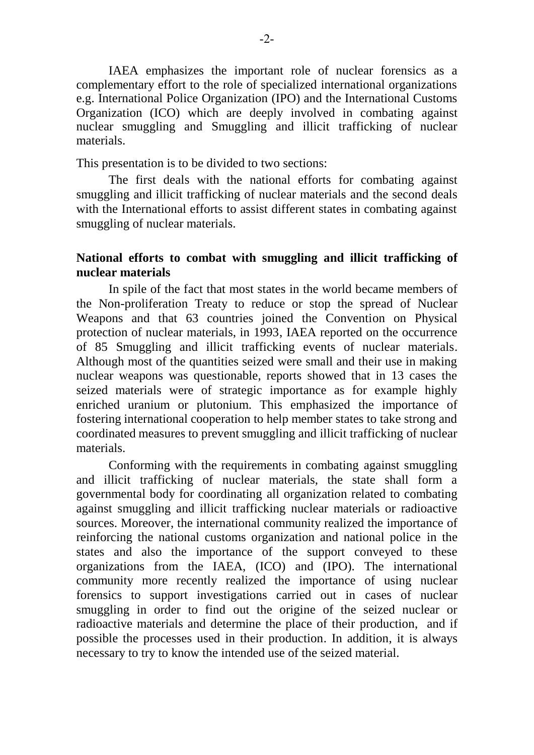IAEA emphasizes the important role of nuclear forensics as a complementary effort to the role of specialized international organizations e.g. International Police Organization (IPO) and the International Customs Organization (ICO) which are deeply involved in combating against nuclear smuggling and Smuggling and illicit trafficking of nuclear materials.

This presentation is to be divided to two sections:

The first deals with the national efforts for combating against smuggling and illicit trafficking of nuclear materials and the second deals with the International efforts to assist different states in combating against smuggling of nuclear materials.

#### **National efforts to combat with smuggling and illicit trafficking of nuclear materials**

In spile of the fact that most states in the world became members of the Non-proliferation Treaty to reduce or stop the spread of Nuclear Weapons and that 63 countries joined the Convention on Physical protection of nuclear materials, in 1993, IAEA reported on the occurrence of 85 Smuggling and illicit trafficking events of nuclear materials. Although most of the quantities seized were small and their use in making nuclear weapons was questionable, reports showed that in 13 cases the seized materials were of strategic importance as for example highly enriched uranium or plutonium. This emphasized the importance of fostering international cooperation to help member states to take strong and coordinated measures to prevent smuggling and illicit trafficking of nuclear materials.

Conforming with the requirements in combating against smuggling and illicit trafficking of nuclear materials, the state shall form a governmental body for coordinating all organization related to combating against smuggling and illicit trafficking nuclear materials or radioactive sources. Moreover, the international community realized the importance of reinforcing the national customs organization and national police in the states and also the importance of the support conveyed to these organizations from the IAEA, (ICO) and (IPO). The international community more recently realized the importance of using nuclear forensics to support investigations carried out in cases of nuclear smuggling in order to find out the origine of the seized nuclear or radioactive materials and determine the place of their production, and if possible the processes used in their production. In addition, it is always necessary to try to know the intended use of the seized material.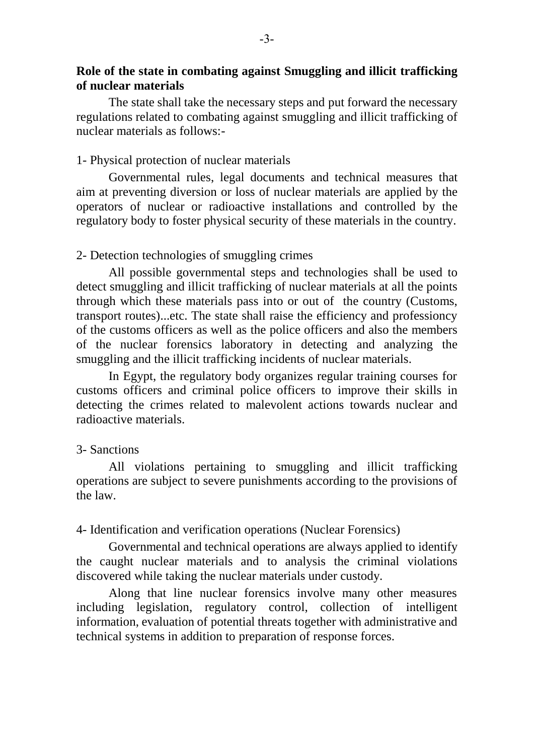### **Role of the state in combating against Smuggling and illicit trafficking of nuclear materials**

The state shall take the necessary steps and put forward the necessary regulations related to combating against smuggling and illicit trafficking of nuclear materials as follows:-

### 1- Physical protection of nuclear materials

Governmental rules, legal documents and technical measures that aim at preventing diversion or loss of nuclear materials are applied by the operators of nuclear or radioactive installations and controlled by the regulatory body to foster physical security of these materials in the country.

## 2- Detection technologies of smuggling crimes

All possible governmental steps and technologies shall be used to detect smuggling and illicit trafficking of nuclear materials at all the points through which these materials pass into or out of the country (Customs, transport routes)...etc. The state shall raise the efficiency and professioncy of the customs officers as well as the police officers and also the members of the nuclear forensics laboratory in detecting and analyzing the smuggling and the illicit trafficking incidents of nuclear materials.

In Egypt, the regulatory body organizes regular training courses for customs officers and criminal police officers to improve their skills in detecting the crimes related to malevolent actions towards nuclear and radioactive materials.

# 3- Sanctions

All violations pertaining to smuggling and illicit trafficking operations are subject to severe punishments according to the provisions of the law.

# 4- Identification and verification operations (Nuclear Forensics)

Governmental and technical operations are always applied to identify the caught nuclear materials and to analysis the criminal violations discovered while taking the nuclear materials under custody.

Along that line nuclear forensics involve many other measures including legislation, regulatory control, collection of intelligent information, evaluation of potential threats together with administrative and technical systems in addition to preparation of response forces.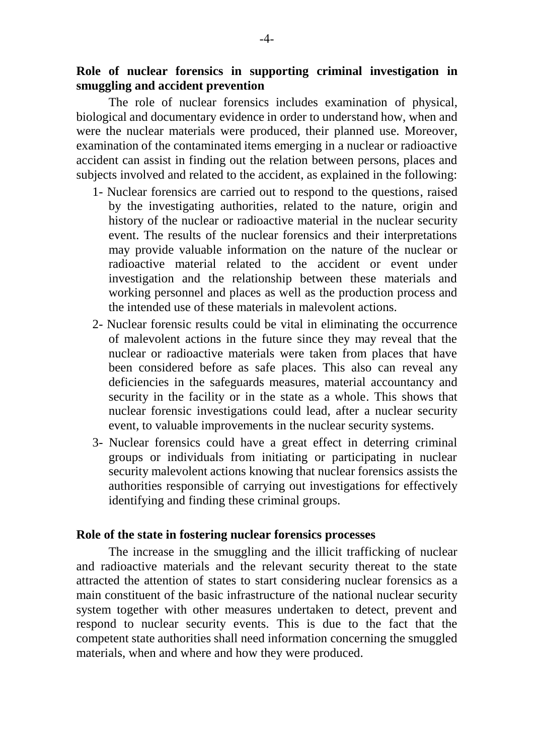### **Role of nuclear forensics in supporting criminal investigation in smuggling and accident prevention**

The role of nuclear forensics includes examination of physical, biological and documentary evidence in order to understand how, when and were the nuclear materials were produced, their planned use. Moreover, examination of the contaminated items emerging in a nuclear or radioactive accident can assist in finding out the relation between persons, places and subjects involved and related to the accident, as explained in the following:

- 1- Nuclear forensics are carried out to respond to the questions, raised by the investigating authorities, related to the nature, origin and history of the nuclear or radioactive material in the nuclear security event. The results of the nuclear forensics and their interpretations may provide valuable information on the nature of the nuclear or radioactive material related to the accident or event under investigation and the relationship between these materials and working personnel and places as well as the production process and the intended use of these materials in malevolent actions.
- 2- Nuclear forensic results could be vital in eliminating the occurrence of malevolent actions in the future since they may reveal that the nuclear or radioactive materials were taken from places that have been considered before as safe places. This also can reveal any deficiencies in the safeguards measures, material accountancy and security in the facility or in the state as a whole. This shows that nuclear forensic investigations could lead, after a nuclear security event, to valuable improvements in the nuclear security systems.
- 3- Nuclear forensics could have a great effect in deterring criminal groups or individuals from initiating or participating in nuclear security malevolent actions knowing that nuclear forensics assists the authorities responsible of carrying out investigations for effectively identifying and finding these criminal groups.

#### **Role of the state in fostering nuclear forensics processes**

The increase in the smuggling and the illicit trafficking of nuclear and radioactive materials and the relevant security thereat to the state attracted the attention of states to start considering nuclear forensics as a main constituent of the basic infrastructure of the national nuclear security system together with other measures undertaken to detect, prevent and respond to nuclear security events. This is due to the fact that the competent state authorities shall need information concerning the smuggled materials, when and where and how they were produced.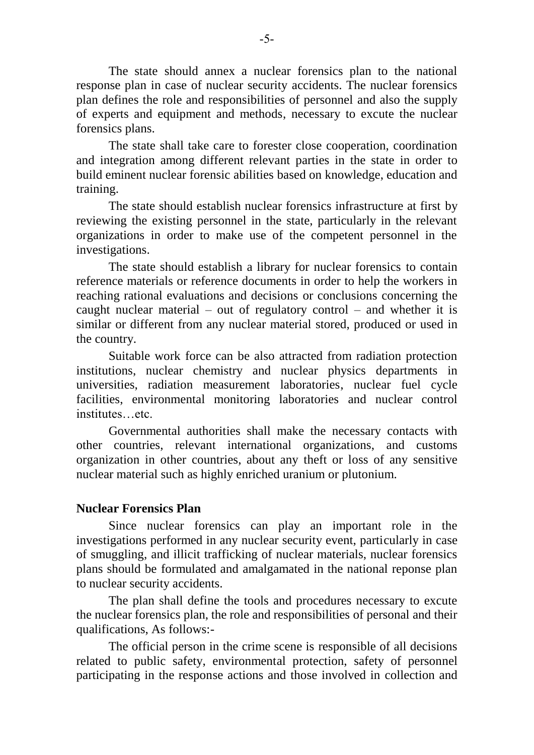The state should annex a nuclear forensics plan to the national response plan in case of nuclear security accidents. The nuclear forensics plan defines the role and responsibilities of personnel and also the supply of experts and equipment and methods, necessary to excute the nuclear forensics plans.

The state shall take care to forester close cooperation, coordination and integration among different relevant parties in the state in order to build eminent nuclear forensic abilities based on knowledge, education and training.

The state should establish nuclear forensics infrastructure at first by reviewing the existing personnel in the state, particularly in the relevant organizations in order to make use of the competent personnel in the investigations.

The state should establish a library for nuclear forensics to contain reference materials or reference documents in order to help the workers in reaching rational evaluations and decisions or conclusions concerning the caught nuclear material – out of regulatory control – and whether it is similar or different from any nuclear material stored, produced or used in the country.

Suitable work force can be also attracted from radiation protection institutions, nuclear chemistry and nuclear physics departments in universities, radiation measurement laboratories, nuclear fuel cycle facilities, environmental monitoring laboratories and nuclear control institutes…etc.

Governmental authorities shall make the necessary contacts with other countries, relevant international organizations, and customs organization in other countries, about any theft or loss of any sensitive nuclear material such as highly enriched uranium or plutonium.

#### **Nuclear Forensics Plan**

Since nuclear forensics can play an important role in the investigations performed in any nuclear security event, particularly in case of smuggling, and illicit trafficking of nuclear materials, nuclear forensics plans should be formulated and amalgamated in the national reponse plan to nuclear security accidents.

The plan shall define the tools and procedures necessary to excute the nuclear forensics plan, the role and responsibilities of personal and their qualifications, As follows:-

The official person in the crime scene is responsible of all decisions related to public safety, environmental protection, safety of personnel participating in the response actions and those involved in collection and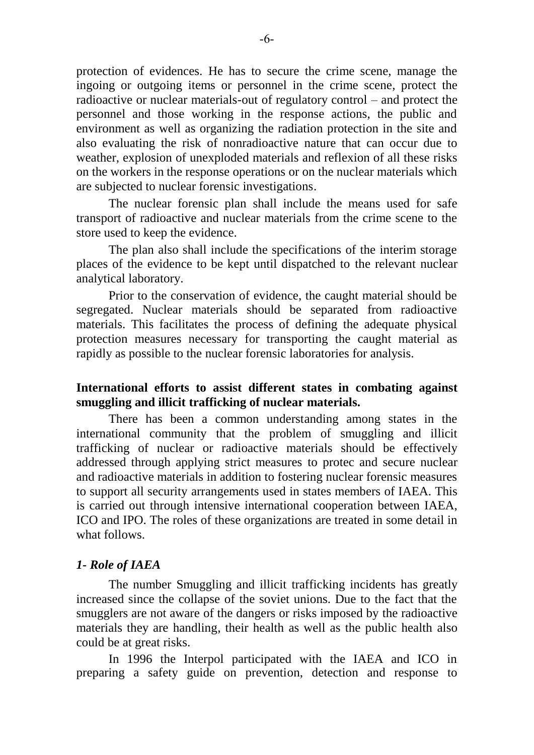protection of evidences. He has to secure the crime scene, manage the ingoing or outgoing items or personnel in the crime scene, protect the radioactive or nuclear materials-out of regulatory control – and protect the personnel and those working in the response actions, the public and environment as well as organizing the radiation protection in the site and also evaluating the risk of nonradioactive nature that can occur due to weather, explosion of unexploded materials and reflexion of all these risks on the workers in the response operations or on the nuclear materials which are subjected to nuclear forensic investigations.

The nuclear forensic plan shall include the means used for safe transport of radioactive and nuclear materials from the crime scene to the store used to keep the evidence.

The plan also shall include the specifications of the interim storage places of the evidence to be kept until dispatched to the relevant nuclear analytical laboratory.

Prior to the conservation of evidence, the caught material should be segregated. Nuclear materials should be separated from radioactive materials. This facilitates the process of defining the adequate physical protection measures necessary for transporting the caught material as rapidly as possible to the nuclear forensic laboratories for analysis.

### **International efforts to assist different states in combating against smuggling and illicit trafficking of nuclear materials.**

There has been a common understanding among states in the international community that the problem of smuggling and illicit trafficking of nuclear or radioactive materials should be effectively addressed through applying strict measures to protec and secure nuclear and radioactive materials in addition to fostering nuclear forensic measures to support all security arrangements used in states members of IAEA. This is carried out through intensive international cooperation between IAEA, ICO and IPO. The roles of these organizations are treated in some detail in what follows.

#### *1- Role of IAEA*

The number Smuggling and illicit trafficking incidents has greatly increased since the collapse of the soviet unions. Due to the fact that the smugglers are not aware of the dangers or risks imposed by the radioactive materials they are handling, their health as well as the public health also could be at great risks.

In 1996 the Interpol participated with the IAEA and ICO in preparing a safety guide on prevention, detection and response to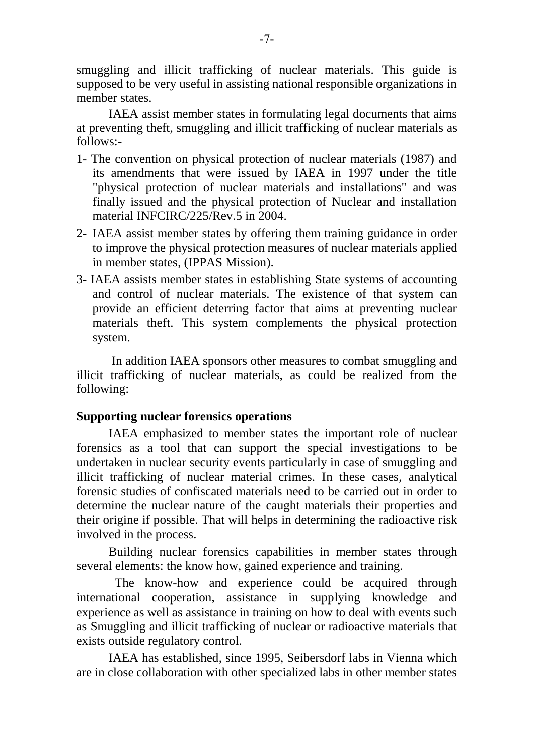smuggling and illicit trafficking of nuclear materials. This guide is supposed to be very useful in assisting national responsible organizations in member states.

IAEA assist member states in formulating legal documents that aims at preventing theft, smuggling and illicit trafficking of nuclear materials as follows:-

- 1- The convention on physical protection of nuclear materials (1987) and its amendments that were issued by IAEA in 1997 under the title "physical protection of nuclear materials and installations" and was finally issued and the physical protection of Nuclear and installation material INFCIRC/225/Rev.5 in 2004.
- 2- IAEA assist member states by offering them training guidance in order to improve the physical protection measures of nuclear materials applied in member states, (IPPAS Mission).
- 3- IAEA assists member states in establishing State systems of accounting and control of nuclear materials. The existence of that system can provide an efficient deterring factor that aims at preventing nuclear materials theft. This system complements the physical protection system.

In addition IAEA sponsors other measures to combat smuggling and illicit trafficking of nuclear materials, as could be realized from the following:

### **Supporting nuclear forensics operations**

IAEA emphasized to member states the important role of nuclear forensics as a tool that can support the special investigations to be undertaken in nuclear security events particularly in case of smuggling and illicit trafficking of nuclear material crimes. In these cases, analytical forensic studies of confiscated materials need to be carried out in order to determine the nuclear nature of the caught materials their properties and their origine if possible. That will helps in determining the radioactive risk involved in the process.

Building nuclear forensics capabilities in member states through several elements: the know how, gained experience and training.

 The know-how and experience could be acquired through international cooperation, assistance in supplying knowledge and experience as well as assistance in training on how to deal with events such as Smuggling and illicit trafficking of nuclear or radioactive materials that exists outside regulatory control.

IAEA has established, since 1995, Seibersdorf labs in Vienna which are in close collaboration with other specialized labs in other member states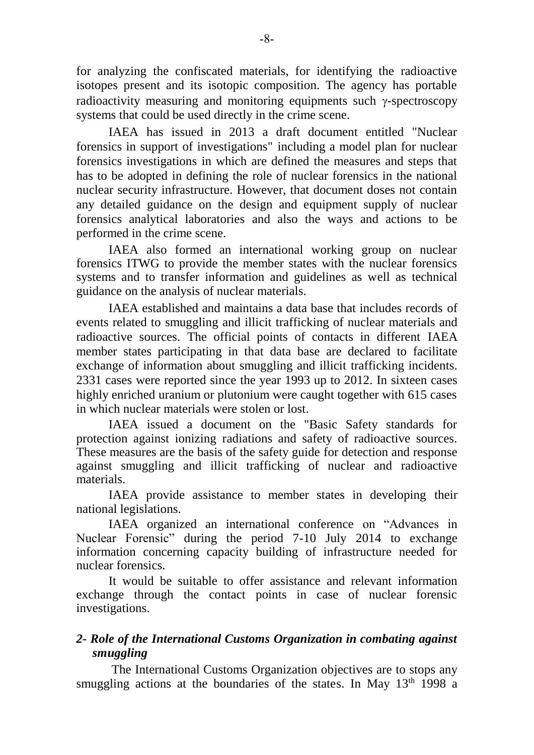for analyzing the confiscated materials, for identifying the radioactive isotopes present and its isotopic composition. The agency has portable radioactivity measuring and monitoring equipments such  $\gamma$ -spectroscopy systems that could be used directly in the crime scene.

IAEA has issued in 2013 a draft document entitled "Nuclear forensics in support of investigations" including a model plan for nuclear forensics investigations in which are defined the measures and steps that has to be adopted in defining the role of nuclear forensics in the national nuclear security infrastructure. However, that document doses not contain any detailed guidance on the design and equipment supply of nuclear forensics analytical laboratories and also the ways and actions to be performed in the crime scene.

IAEA also formed an international working group on nuclear forensics ITWG to provide the member states with the nuclear forensics systems and to transfer information and guidelines as well as technical guidance on the analysis of nuclear materials.

IAEA established and maintains a data base that includes records of events related to smuggling and illicit trafficking of nuclear materials and radioactive sources. The official points of contacts in different IAEA member states participating in that data base are declared to facilitate exchange of information about smuggling and illicit trafficking incidents. 2331 cases were reported since the year 1993 up to 2012. In sixteen cases highly enriched uranium or plutonium were caught together with 615 cases in which nuclear materials were stolen or lost.

IAEA issued a document on the "Basic Safety standards for protection against ionizing radiations and safety of radioactive sources. These measures are the basis of the safety guide for detection and response against smuggling and illicit trafficking of nuclear and radioactive materials.

IAEA provide assistance to member states in developing their national legislations.

IAEA organized an international conference on "Advances in Nuclear Forensic" during the period 7-10 July 2014 to exchange information concerning capacity building of infrastructure needed for nuclear forensics.

It would be suitable to offer assistance and relevant information exchange through the contact points in case of nuclear forensic investigations.

# *2- Role of the International Customs Organization in combating against smuggling*

The International Customs Organization objectives are to stops any smuggling actions at the boundaries of the states. In May  $13<sup>th</sup>$  1998 a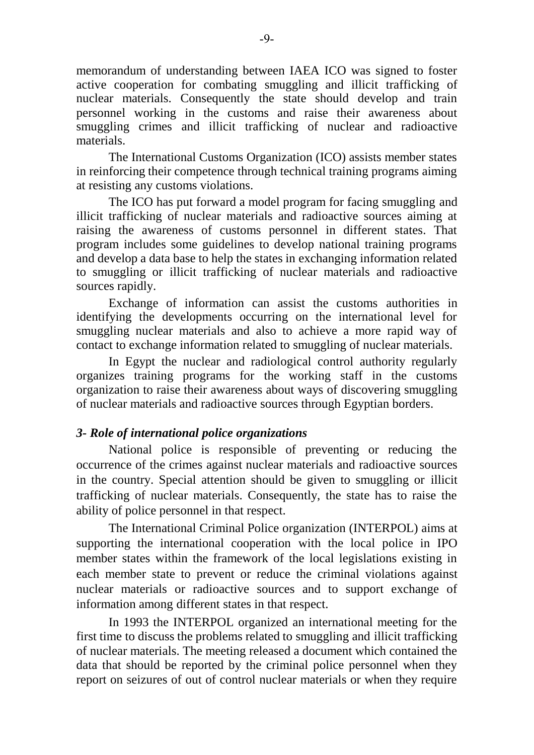memorandum of understanding between IAEA ICO was signed to foster active cooperation for combating smuggling and illicit trafficking of nuclear materials. Consequently the state should develop and train personnel working in the customs and raise their awareness about smuggling crimes and illicit trafficking of nuclear and radioactive materials.

The International Customs Organization (ICO) assists member states in reinforcing their competence through technical training programs aiming at resisting any customs violations.

The ICO has put forward a model program for facing smuggling and illicit trafficking of nuclear materials and radioactive sources aiming at raising the awareness of customs personnel in different states. That program includes some guidelines to develop national training programs and develop a data base to help the states in exchanging information related to smuggling or illicit trafficking of nuclear materials and radioactive sources rapidly.

Exchange of information can assist the customs authorities in identifying the developments occurring on the international level for smuggling nuclear materials and also to achieve a more rapid way of contact to exchange information related to smuggling of nuclear materials.

In Egypt the nuclear and radiological control authority regularly organizes training programs for the working staff in the customs organization to raise their awareness about ways of discovering smuggling of nuclear materials and radioactive sources through Egyptian borders.

# *3- Role of international police organizations*

National police is responsible of preventing or reducing the occurrence of the crimes against nuclear materials and radioactive sources in the country. Special attention should be given to smuggling or illicit trafficking of nuclear materials. Consequently, the state has to raise the ability of police personnel in that respect.

The International Criminal Police organization (INTERPOL) aims at supporting the international cooperation with the local police in IPO member states within the framework of the local legislations existing in each member state to prevent or reduce the criminal violations against nuclear materials or radioactive sources and to support exchange of information among different states in that respect.

In 1993 the INTERPOL organized an international meeting for the first time to discuss the problems related to smuggling and illicit trafficking of nuclear materials. The meeting released a document which contained the data that should be reported by the criminal police personnel when they report on seizures of out of control nuclear materials or when they require